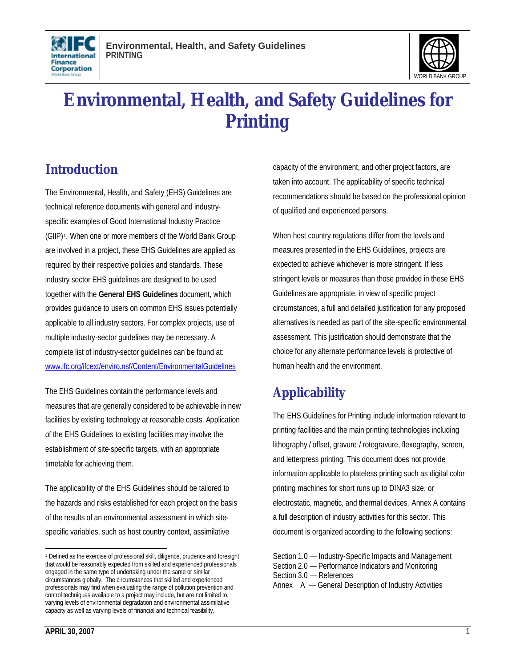



# **Environmental, Health, and Safety Guidelines for Printing**

# **Introduction**

The Environmental, Health, and Safety (EHS) Guidelines are technical reference documents with general and industryspecific examples of Good International Industry Practice (GIIP) <sup>1</sup> . When one or more members of the World Bank Group are involved in a project, these EHS Guidelines are applied as required by their respective policies and standards. These industry sector EHS guidelines are designed to be used together with the **General EHS Guidelines** document, which provides guidance to users on common EHS issues potentially applicable to all industry sectors. For complex projects, use of multiple industry-sector guidelines may be necessary. A complete list of industry-sector guidelines can be found at: www.ifc.org/ifcext/enviro.nsf/Content/EnvironmentalGuidelines

The EHS Guidelines contain the performance levels and measures that are generally considered to be achievable in new facilities by existing technology at reasonable costs. Application of the EHS Guidelines to existing facilities may involve the establishment of site-specific targets, with an appropriate timetable for achieving them.

The applicability of the EHS Guidelines should be tailored to the hazards and risks established for each project on the basis of the results of an environmental assessment in which sitespecific variables, such as host country context, assimilative

capacity of the environment, and other project factors, are taken into account. The applicability of specific technical recommendations should be based on the professional opinion of qualified and experienced persons.

When host country regulations differ from the levels and measures presented in the EHS Guidelines, projects are expected to achieve whichever is more stringent. If less stringent levels or measures than those provided in these EHS Guidelines are appropriate, in view of specific project circumstances, a full and detailed justification for any proposed alternatives is needed as part of the site-specific environmental assessment. This justification should demonstrate that the choice for any alternate performance levels is protective of human health and the environment.

# **Applicability**

The EHS Guidelines for Printing include information relevant to printing facilities and the main printing technologies including lithography / offset, gravure / rotogravure, flexography, screen, and letterpress printing. This document does not provide information applicable to plateless printing such as digital color printing machines for short runs up to DINA3 size, or electrostatic, magnetic, and thermal devices. Annex A contains a full description of industry activities for this sector. This document is organized according to the following sections:

Section 1.0 — Industry-Specific Impacts and Management Section 2.0 — Performance Indicators and Monitoring Section 3.0 — References Annex A — General Description of Industry Activities

 $\overline{a}$ <sup>1</sup> Defined as the exercise of professional skill, diligence, prudence and foresight that would be reasonably expected from skilled and experienced professionals engaged in the same type of undertaking under the same or similar circumstances globally. The circumstances that skilled and experienced professionals may find when evaluating the range of pollution prevention and control techniques available to a project may include, but are not limited to, varying levels of environmental degradation and environmental assimilative capacity as well as varying levels of financial and technical feasibility.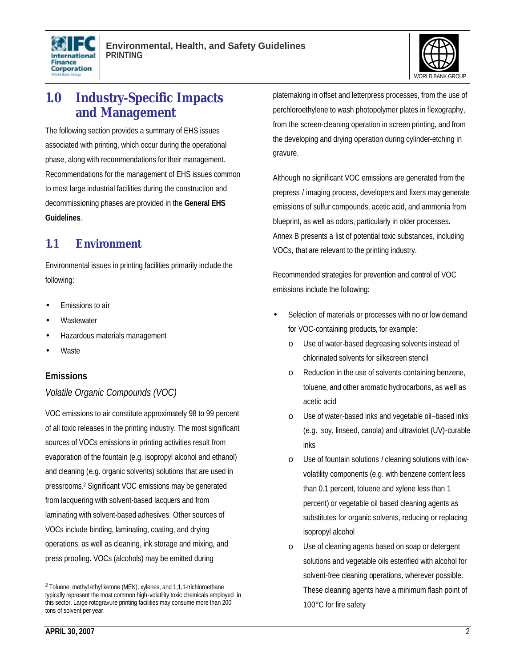



## **1.0 Industry-Specific Impacts and Management**

The following section provides a summary of EHS issues associated with printing, which occur during the operational phase, along with recommendations for their management. Recommendations for the management of EHS issues common to most large industrial facilities during the construction and decommissioning phases are provided in the **General EHS Guidelines**.

### **1.1 Environment**

Environmental issues in printing facilities primarily include the following:

- Emissions to air
- **Wastewater**
- Hazardous materials management
- **Waste**

#### **Emissions**

#### *Volatile Organic Compounds (VOC)*

VOC emissions to air constitute approximately 98 to 99 percent of all toxic releases in the printing industry. The most significant sources of VOCs emissions in printing activities result from evaporation of the fountain (e.g. isopropyl alcohol and ethanol) and cleaning (e.g. organic solvents) solutions that are used in pressrooms.<sup>2</sup> Significant VOC emissions may be generated from lacquering with solvent-based lacquers and from laminating with solvent-based adhesives. Other sources of VOCs include binding, laminating, coating, and drying operations, as well as cleaning, ink storage and mixing, and press proofing. VOCs (alcohols) may be emitted during

platemaking in offset and letterpress processes, from the use of perchloroethylene to wash photopolymer plates in flexography, from the screen-cleaning operation in screen printing, and from the developing and drying operation during cylinder-etching in gravure.

Although no significant VOC emissions are generated from the prepress / imaging process, developers and fixers may generate emissions of sulfur compounds, acetic acid, and ammonia from blueprint, as well as odors, particularly in older processes. Annex B presents a list of potential toxic substances, including VOCs, that are relevant to the printing industry.

Recommended strategies for prevention and control of VOC emissions include the following:

- Selection of materials or processes with no or low demand for VOC-containing products, for example:
	- o Use of water-based degreasing solvents instead of chlorinated solvents for silkscreen stencil
	- o Reduction in the use of solvents containing benzene, toluene, and other aromatic hydrocarbons, as well as acetic acid
	- o Use of water-based inks and vegetable oil–based inks (e.g. soy, linseed, canola) and ultraviolet (UV)-curable inks
	- o Use of fountain solutions / cleaning solutions with lowvolatility components (e.g. with benzene content less than 0.1 percent, toluene and xylene less than 1 percent) or vegetable oil based cleaning agents as substitutes for organic solvents, reducing or replacing isopropyl alcohol
	- o Use of cleaning agents based on soap or detergent solutions and vegetable oils esterified with alcohol for solvent-free cleaning operations, wherever possible. These cleaning agents have a minimum flash point of 100°C for fire safety

 $\overline{a}$ 

<sup>2</sup> Toluene, methyl ethyl ketone (MEK), xylenes, and 1,1,1-trichloroethane typically represent the most common high-volatility toxic chemicals employed in this sector. Large rotogravure printing facilities may consume more than 200 tons of solvent per year.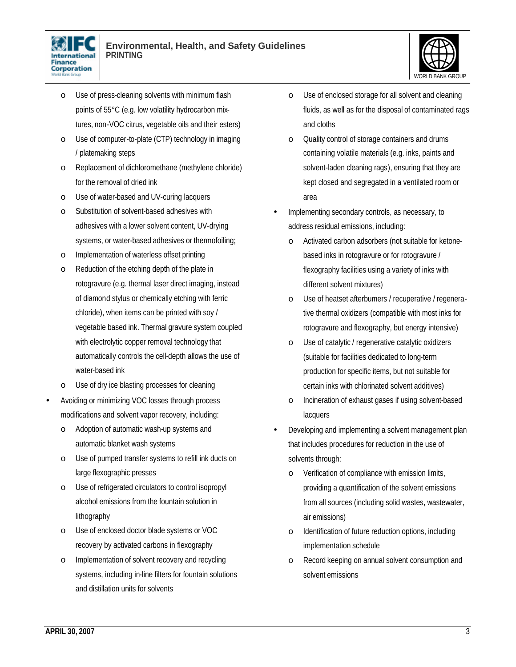



- o Use of press-cleaning solvents with minimum flash points of 55°C (e.g. low volatility hydrocarbon mixtures, non-VOC citrus, vegetable oils and their esters)
- o Use of computer-to-plate (CTP) technology in imaging / platemaking steps
- o Replacement of dichloromethane (methylene chloride) for the removal of dried ink
- o Use of water-based and UV-curing lacquers
- o Substitution of solvent-based adhesives with adhesives with a lower solvent content, UV-drying systems, or water-based adhesives or thermofoiling;
- o Implementation of waterless offset printing
- o Reduction of the etching depth of the plate in rotogravure (e.g. thermal laser direct imaging, instead of diamond stylus or chemically etching with ferric chloride), when items can be printed with soy / vegetable based ink. Thermal gravure system coupled with electrolytic copper removal technology that automatically controls the cell-depth allows the use of water-based ink
- o Use of dry ice blasting processes for cleaning
- Avoiding or minimizing VOC losses through process modifications and solvent vapor recovery, including:
	- o Adoption of automatic wash-up systems and automatic blanket wash systems
	- o Use of pumped transfer systems to refill ink ducts on large flexographic presses
	- o Use of refrigerated circulators to control isopropyl alcohol emissions from the fountain solution in lithography
	- o Use of enclosed doctor blade systems or VOC recovery by activated carbons in flexography
	- o Implementation of solvent recovery and recycling systems, including in-line filters for fountain solutions and distillation units for solvents
- o Use of enclosed storage for all solvent and cleaning fluids, as well as for the disposal of contaminated rags and cloths
- o Quality control of storage containers and drums containing volatile materials (e.g. inks, paints and solvent-laden cleaning rags), ensuring that they are kept closed and segregated in a ventilated room or area
- Implementing secondary controls, as necessary, to address residual emissions, including:
	- o Activated carbon adsorbers (not suitable for ketonebased inks in rotogravure or for rotogravure / flexography facilities using a variety of inks with different solvent mixtures)
	- o Use of heatset afterburners / recuperative / regenerative thermal oxidizers (compatible with most inks for rotogravure and flexography, but energy intensive)
	- o Use of catalytic / regenerative catalytic oxidizers (suitable for facilities dedicated to long-term production for specific items, but not suitable for certain inks with chlorinated solvent additives)
	- o Incineration of exhaust gases if using solvent-based lacquers
- Developing and implementing a solvent management plan that includes procedures for reduction in the use of solvents through:
	- o Verification of compliance with emission limits, providing a quantification of the solvent emissions from all sources (including solid wastes, wastewater, air emissions)
	- o Identification of future reduction options, including implementation schedule
	- o Record keeping on annual solvent consumption and solvent emissions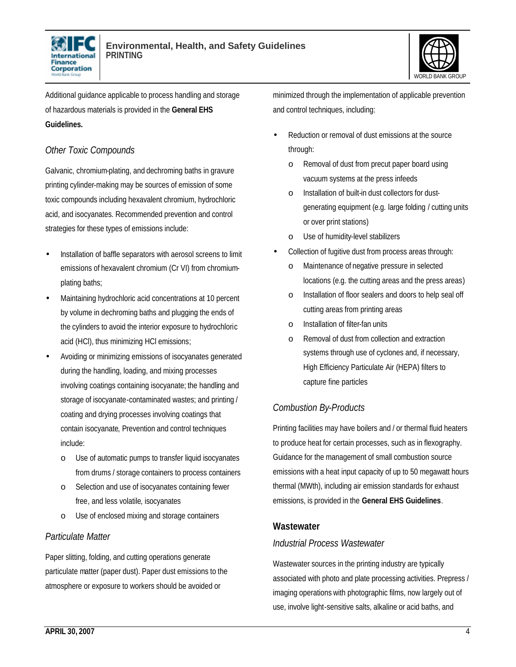



Additional guidance applicable to process handling and storage of hazardous materials is provided in the **General EHS Guidelines.** 

#### *Other Toxic Compounds*

Galvanic, chromium-plating, and dechroming baths in gravure printing cylinder-making may be sources of emission of some toxic compounds including hexavalent chromium, hydrochloric acid, and isocyanates. Recommended prevention and control strategies for these types of emissions include:

- Installation of baffle separators with aerosol screens to limit emissions of hexavalent chromium (Cr VI) from chromiumplating baths;
- Maintaining hydrochloric acid concentrations at 10 percent by volume in dechroming baths and plugging the ends of the cylinders to avoid the interior exposure to hydrochloric acid (HCl), thus minimizing HCl emissions;
- Avoiding or minimizing emissions of isocyanates generated during the handling, loading, and mixing processes involving coatings containing isocyanate; the handling and storage of isocyanate-contaminated wastes; and printing / coating and drying processes involving coatings that contain isocyanate, Prevention and control techniques include:
	- o Use of automatic pumps to transfer liquid isocyanates from drums / storage containers to process containers
	- o Selection and use of isocyanates containing fewer free, and less volatile, isocyanates
	- o Use of enclosed mixing and storage containers

#### *Particulate Matter*

Paper slitting, folding, and cutting operations generate particulate matter (paper dust). Paper dust emissions to the atmosphere or exposure to workers should be avoided or

minimized through the implementation of applicable prevention and control techniques, including:

- Reduction or removal of dust emissions at the source through:
	- o Removal of dust from precut paper board using vacuum systems at the press infeeds
	- Installation of built-in dust collectors for dustgenerating equipment (e.g. large folding / cutting units or over print stations)
	- o Use of humidity-level stabilizers
- Collection of fugitive dust from process areas through:
	- o Maintenance of negative pressure in selected locations (e.g. the cutting areas and the press areas)
	- o Installation of floor sealers and doors to help seal off cutting areas from printing areas
	- o Installation of filter-fan units
	- o Removal of dust from collection and extraction systems through use of cyclones and, if necessary, High Efficiency Particulate Air (HEPA) filters to capture fine particles

#### *Combustion By-Products*

Printing facilities may have boilers and / or thermal fluid heaters to produce heat for certain processes, such as in flexography. Guidance for the management of small combustion source emissions with a heat input capacity of up to 50 megawatt hours thermal (MWth), including air emission standards for exhaust emissions, is provided in the **General EHS Guidelines**.

#### **Wastewater**

#### *Industrial Process Wastewater*

Wastewater sources in the printing industry are typically associated with photo and plate processing activities. Prepress / imaging operations with photographic films, now largely out of use, involve light-sensitive salts, alkaline or acid baths, and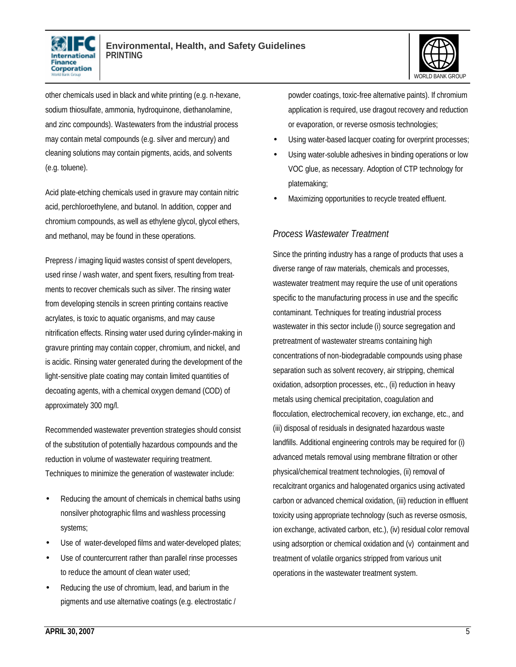



other chemicals used in black and white printing (e.g. n-hexane, sodium thiosulfate, ammonia, hydroquinone, diethanolamine, and zinc compounds). Wastewaters from the industrial process may contain metal compounds (e.g. silver and mercury) and cleaning solutions may contain pigments, acids, and solvents (e.g. toluene).

Acid plate-etching chemicals used in gravure may contain nitric acid, perchloroethylene, and butanol. In addition, copper and chromium compounds, as well as ethylene glycol, glycol ethers, and methanol, may be found in these operations.

Prepress / imaging liquid wastes consist of spent developers, used rinse / wash water, and spent fixers, resulting from treatments to recover chemicals such as silver. The rinsing water from developing stencils in screen printing contains reactive acrylates, is toxic to aquatic organisms, and may cause nitrification effects. Rinsing water used during cylinder-making in gravure printing may contain copper, chromium, and nickel, and is acidic. Rinsing water generated during the development of the light-sensitive plate coating may contain limited quantities of decoating agents, with a chemical oxygen demand (COD) of approximately 300 mg/l.

Recommended wastewater prevention strategies should consist of the substitution of potentially hazardous compounds and the reduction in volume of wastewater requiring treatment. Techniques to minimize the generation of wastewater include:

- Reducing the amount of chemicals in chemical baths using nonsilver photographic films and washless processing systems;
- Use of water-developed films and water-developed plates;
- Use of countercurrent rather than parallel rinse processes to reduce the amount of clean water used;
- Reducing the use of chromium, lead, and barium in the pigments and use alternative coatings (e.g. electrostatic /

powder coatings, toxic-free alternative paints). If chromium application is required, use dragout recovery and reduction or evaporation, or reverse osmosis technologies;

- Using water-based lacquer coating for overprint processes;
- Using water-soluble adhesives in binding operations or low VOC glue, as necessary. Adoption of CTP technology for platemaking;
- Maximizing opportunities to recycle treated effluent.

#### *Process Wastewater Treatment*

Since the printing industry has a range of products that uses a diverse range of raw materials, chemicals and processes, wastewater treatment may require the use of unit operations specific to the manufacturing process in use and the specific contaminant. Techniques for treating industrial process wastewater in this sector include (i) source segregation and pretreatment of wastewater streams containing high concentrations of non-biodegradable compounds using phase separation such as solvent recovery, air stripping, chemical oxidation, adsorption processes, etc., (ii) reduction in heavy metals using chemical precipitation, coagulation and flocculation, electrochemical recovery, ion exchange, etc., and (iii) disposal of residuals in designated hazardous waste landfills. Additional engineering controls may be required for (i) advanced metals removal using membrane filtration or other physical/chemical treatment technologies, (ii) removal of recalcitrant organics and halogenated organics using activated carbon or advanced chemical oxidation, (iii) reduction in effluent toxicity using appropriate technology (such as reverse osmosis, ion exchange, activated carbon, etc.), (iv) residual color removal using adsorption or chemical oxidation and (v) containment and treatment of volatile organics stripped from various unit operations in the wastewater treatment system.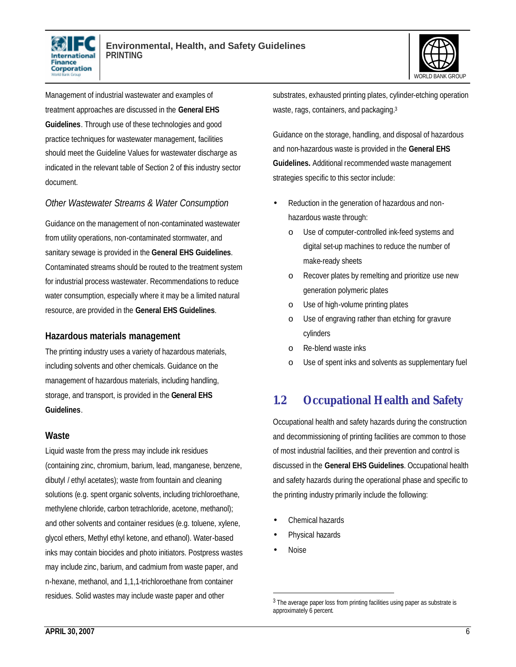



Management of industrial wastewater and examples of treatment approaches are discussed in the **General EHS Guidelines**. Through use of these technologies and good practice techniques for wastewater management, facilities should meet the Guideline Values for wastewater discharge as indicated in the relevant table of Section 2 of this industry sector document.

#### *Other Wastewater Streams & Water Consumption*

Guidance on the management of non-contaminated wastewater from utility operations, non-contaminated stormwater, and sanitary sewage is provided in the **General EHS Guidelines**. Contaminated streams should be routed to the treatment system for industrial process wastewater. Recommendations to reduce water consumption, especially where it may be a limited natural resource, are provided in the **General EHS Guidelines**.

#### **Hazardous materials management**

The printing industry uses a variety of hazardous materials, including solvents and other chemicals. Guidance on the management of hazardous materials, including handling, storage, and transport, is provided in the **General EHS Guidelines**.

#### **Waste**

Liquid waste from the press may include ink residues (containing zinc, chromium, barium, lead, manganese, benzene, dibutyl / ethyl acetates); waste from fountain and cleaning solutions (e.g. spent organic solvents, including trichloroethane, methylene chloride, carbon tetrachloride, acetone, methanol); and other solvents and container residues (e.g. toluene, xylene, glycol ethers, Methyl ethyl ketone, and ethanol). Water-based inks may contain biocides and photo initiators. Postpress wastes may include zinc, barium, and cadmium from waste paper, and n-hexane, methanol, and 1,1,1-trichloroethane from container residues. Solid wastes may include waste paper and other

substrates, exhausted printing plates, cylinder-etching operation waste, rags, containers, and packaging.<sup>3</sup>

Guidance on the storage, handling, and disposal of hazardous and non-hazardous waste is provided in the **General EHS Guidelines.** Additional recommended waste management strategies specific to this sector include:

- Reduction in the generation of hazardous and nonhazardous waste through:
	- o Use of computer-controlled ink-feed systems and digital set-up machines to reduce the number of make-ready sheets
	- o Recover plates by remelting and prioritize use new generation polymeric plates
	- o Use of high-volume printing plates
	- o Use of engraving rather than etching for gravure cylinders
	- o Re-blend waste inks
	- o Use of spent inks and solvents as supplementary fuel

## **1.2 Occupational Health and Safety**

Occupational health and safety hazards during the construction and decommissioning of printing facilities are common to those of most industrial facilities, and their prevention and control is discussed in the **General EHS Guidelines**. Occupational health and safety hazards during the operational phase and specific to the printing industry primarily include the following:

- Chemical hazards
- Physical hazards
- Noise

1

<sup>&</sup>lt;sup>3</sup> The average paper loss from printing facilities using paper as substrate is approximately 6 percent.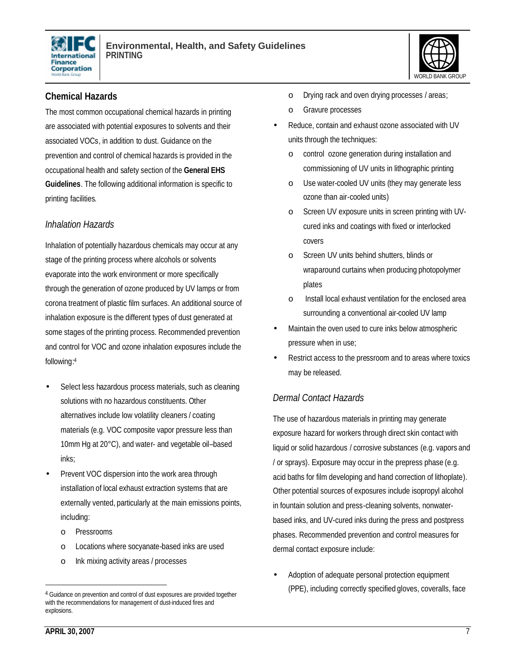



#### **Chemical Hazards**

The most common occupational chemical hazards in printing are associated with potential exposures to solvents and their associated VOCs, in addition to dust. Guidance on the prevention and control of chemical hazards is provided in the occupational health and safety section of the **General EHS Guidelines**. The following additional information is specific to printing facilities.

#### *Inhalation Hazards*

Inhalation of potentially hazardous chemicals may occur at any stage of the printing process where alcohols or solvents evaporate into the work environment or more specifically through the generation of ozone produced by UV lamps or from corona treatment of plastic film surfaces. An additional source of inhalation exposure is the different types of dust generated at some stages of the printing process. Recommended prevention and control for VOC and ozone inhalation exposures include the following: 4

- Select less hazardous process materials, such as cleaning solutions with no hazardous constituents. Other alternatives include low volatility cleaners / coating materials (e.g. VOC composite vapor pressure less than 10mm Hg at 20°C), and water- and vegetable oil–based inks;
- Prevent VOC dispersion into the work area through installation of local exhaust extraction systems that are externally vented, particularly at the main emissions points, including:
	- o Pressrooms
	- o Locations where socyanate-based inks are used
	- o Ink mixing activity areas / processes
- o Drying rack and oven drying processes / areas;
- o Gravure processes
- Reduce, contain and exhaust ozone associated with UV units through the techniques:
	- o control ozone generation during installation and commissioning of UV units in lithographic printing
	- o Use water-cooled UV units (they may generate less ozone than air-cooled units)
	- o Screen UV exposure units in screen printing with UVcured inks and coatings with fixed or interlocked covers
	- o Screen UV units behind shutters, blinds or wraparound curtains when producing photopolymer plates
	- o Install local exhaust ventilation for the enclosed area surrounding a conventional air-cooled UV lamp
- Maintain the oven used to cure inks below atmospheric pressure when in use;
- Restrict access to the pressroom and to areas where toxics may be released.

#### *Dermal Contact Hazards*

The use of hazardous materials in printing may generate exposure hazard for workers through direct skin contact with liquid or solid hazardous / corrosive substances (e.g. vapors and / or sprays). Exposure may occur in the prepress phase (e.g. acid baths for film developing and hand correction of lithoplate). Other potential sources of exposures include isopropyl alcohol in fountain solution and press-cleaning solvents, nonwaterbased inks, and UV-cured inks during the press and postpress phases. Recommended prevention and control measures for dermal contact exposure include:

• Adoption of adequate personal protection equipment (PPE), including correctly specified gloves, coveralls, face

 $\overline{a}$ 

<sup>&</sup>lt;sup>4</sup> Guidance on prevention and control of dust exposures are provided together with the recommendations for management of dust-induced fires and explosions.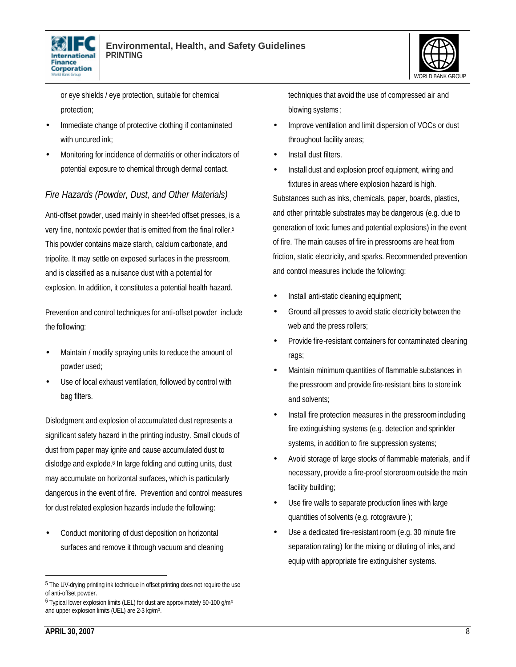



or eye shields / eye protection, suitable for chemical protection;

- Immediate change of protective clothing if contaminated with uncured ink:
- Monitoring for incidence of dermatitis or other indicators of potential exposure to chemical through dermal contact.

#### *Fire Hazards (Powder, Dust, and Other Materials)*

Anti-offset powder, used mainly in sheet-fed offset presses, is a very fine, nontoxic powder that is emitted from the final roller.<sup>5</sup> This powder contains maize starch, calcium carbonate, and tripolite. It may settle on exposed surfaces in the pressroom, and is classified as a nuisance dust with a potential for explosion. In addition, it constitutes a potential health hazard.

Prevention and control techniques for anti-offset powder include the following:

- Maintain / modify spraying units to reduce the amount of powder used;
- Use of local exhaust ventilation, followed by control with bag filters.

Dislodgment and explosion of accumulated dust represents a significant safety hazard in the printing industry. Small clouds of dust from paper may ignite and cause accumulated dust to dislodge and explode.<sup>6</sup> In large folding and cutting units, dust may accumulate on horizontal surfaces, which is particularly dangerous in the event of fire. Prevention and control measures for dust related explosion hazards include the following:

• Conduct monitoring of dust deposition on horizontal surfaces and remove it through vacuum and cleaning techniques that avoid the use of compressed air and blowing systems;

- Improve ventilation and limit dispersion of VOCs or dust throughout facility areas;
- Install dust filters.
- Install dust and explosion proof equipment, wiring and fixtures in areas where explosion hazard is high.

Substances such as inks, chemicals, paper, boards, plastics, and other printable substrates may be dangerous (e.g. due to generation of toxic fumes and potential explosions) in the event of fire. The main causes of fire in pressrooms are heat from friction, static electricity, and sparks. Recommended prevention and control measures include the following:

- Install anti-static cleaning equipment;
- Ground all presses to avoid static electricity between the web and the press rollers;
- Provide fire-resistant containers for contaminated cleaning rags;
- Maintain minimum quantities of flammable substances in the pressroom and provide fire-resistant bins to store ink and solvents;
- Install fire protection measures in the pressroom including fire extinguishing systems (e.g. detection and sprinkler systems, in addition to fire suppression systems;
- Avoid storage of large stocks of flammable materials, and if necessary, provide a fire-proof storeroom outside the main facility building;
- Use fire walls to separate production lines with large quantities of solvents (e.g. rotogravure );
- Use a dedicated fire-resistant room (e.g. 30 minute fire separation rating) for the mixing or diluting of inks, and equip with appropriate fire extinguisher systems.

 $\overline{a}$ 

<sup>&</sup>lt;sup>5</sup> The UV-drying printing ink technique in offset printing does not require the use of anti-offset powder.

 $6$  Typical lower explosion limits (LEL) for dust are approximately 50-100 g/m<sup>3</sup> and upper explosion limits (UEL) are 2-3 kg/m<sup>3</sup>.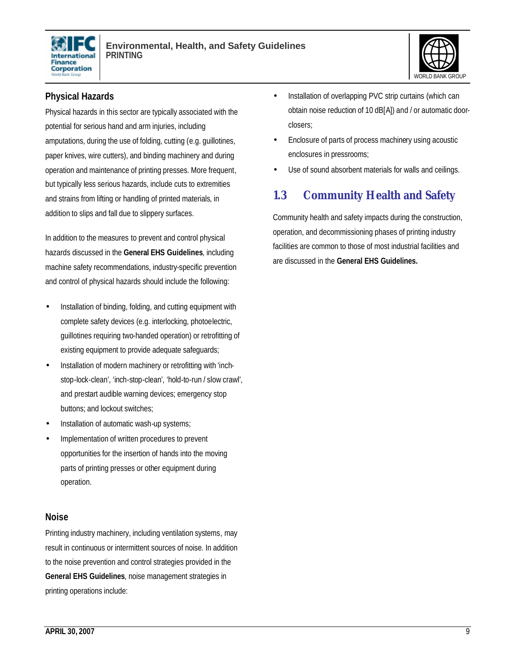



#### **Physical Hazards**

Physical hazards in this sector are typically associated with the potential for serious hand and arm injuries, including amputations, during the use of folding, cutting (e.g. guillotines, paper knives, wire cutters), and binding machinery and during operation and maintenance of printing presses. More frequent, but typically less serious hazards, include cuts to extremities and strains from lifting or handling of printed materials, in addition to slips and fall due to slippery surfaces.

In addition to the measures to prevent and control physical hazards discussed in the **General EHS Guidelines**, including machine safety recommendations, industry-specific prevention and control of physical hazards should include the following:

- Installation of binding, folding, and cutting equipment with complete safety devices (e.g. interlocking, photoelectric, guillotines requiring two-handed operation) or retrofitting of existing equipment to provide adequate safeguards;
- Installation of modern machinery or retrofitting with 'inchstop-lock-clean', 'inch-stop-clean', 'hold-to-run / slow crawl', and prestart audible warning devices; emergency stop buttons; and lockout switches;
- Installation of automatic wash-up systems;
- Implementation of written procedures to prevent opportunities for the insertion of hands into the moving parts of printing presses or other equipment during operation.

#### **Noise**

Printing industry machinery, including ventilation systems, may result in continuous or intermittent sources of noise. In addition to the noise prevention and control strategies provided in the **General EHS Guidelines**, noise management strategies in printing operations include:

- Installation of overlapping PVC strip curtains (which can obtain noise reduction of 10 dB[A]) and / or automatic doorclosers;
- Enclosure of parts of process machinery using acoustic enclosures in pressrooms;
- Use of sound absorbent materials for walls and ceilings.

## **1.3 Community Health and Safety**

Community health and safety impacts during the construction, operation, and decommissioning phases of printing industry facilities are common to those of most industrial facilities and are discussed in the **General EHS Guidelines.**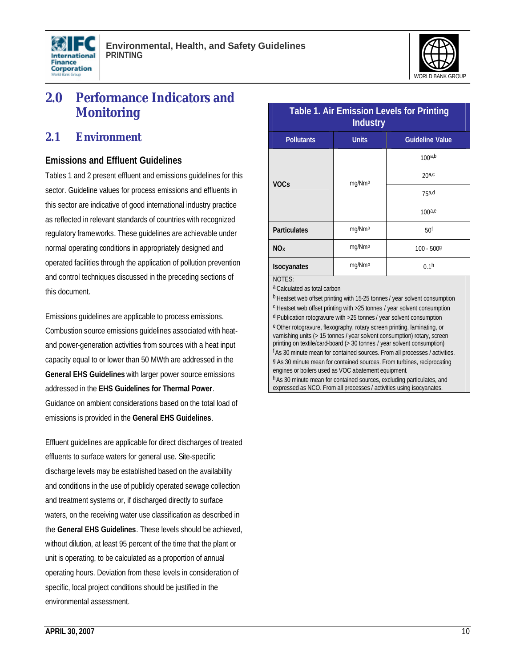



## **2.0 Performance Indicators and Monitoring**

#### **2.1 Environment**

#### **Emissions and Effluent Guidelines**

Tables 1 and 2 present effluent and emissions guidelines for this sector. Guideline values for process emissions and effluents in this sector are indicative of good international industry practice as reflected in relevant standards of countries with recognized regulatory frameworks. These guidelines are achievable under normal operating conditions in appropriately designed and operated facilities through the application of pollution prevention and control techniques discussed in the preceding sections of this document.

Emissions guidelines are applicable to process emissions. Combustion source emissions guidelines associated with heatand power-generation activities from sources with a heat input capacity equal to or lower than 50 MWth are addressed in the **General EHS Guidelines** with larger power source emissions addressed in the **EHS Guidelines for Thermal Power**. Guidance on ambient considerations based on the total load of emissions is provided in the **General EHS Guidelines**.

Effluent guidelines are applicable for direct discharges of treated effluents to surface waters for general use. Site-specific discharge levels may be established based on the availability and conditions in the use of publicly operated sewage collection and treatment systems or, if discharged directly to surface waters, on the receiving water use classification as described in the **General EHS Guidelines**. These levels should be achieved, without dilution, at least 95 percent of the time that the plant or unit is operating, to be calculated as a proportion of annual operating hours. Deviation from these levels in consideration of specific, local project conditions should be justified in the environmental assessment.

| <b>Table 1. Air Emission Levels for Printing</b><br><b>Industry</b> |                    |                        |  |  |
|---------------------------------------------------------------------|--------------------|------------------------|--|--|
| <b>Pollutants</b>                                                   | <b>Units</b>       | <b>Guideline Value</b> |  |  |
| <b>VOCs</b>                                                         | mg/Nm <sup>3</sup> | 100a,b                 |  |  |
|                                                                     |                    | $20a$ <sub>c</sub>     |  |  |
|                                                                     |                    | 75a,d                  |  |  |
|                                                                     |                    | 100a,e                 |  |  |
| <b>Particulates</b>                                                 | mg/Nm <sup>3</sup> | 50 <sup>f</sup>        |  |  |
| <b>NO</b> <sub>x</sub>                                              | mg/Nm <sup>3</sup> | $100 - 5009$           |  |  |
| <b>Isocyanates</b>                                                  | mg/Nm <sup>3</sup> | 0.1 <sup>h</sup>       |  |  |
| NOTES:                                                              |                    |                        |  |  |

a Calculated as total carbon

b Heatset web offset printing with 15-25 tonnes / year solvent consumption

c Heatset web offset printing with >25 tonnes / year solvent consumption

d Publication rotogravure with >25 tonnes / year solvent consumption e Other rotogravure, flexography, rotary screen printing, laminating, or varnishing units (> 15 tonnes / year solvent consumption) rotary, screen printing on textile/card-board (> 30 tonnes / year solvent consumption) <sup>f</sup> As 30 minute mean for contained sources. From all processes / activities. g As 30 minute mean for contained sources. From turbines, reciprocating engines or boilers used as VOC abatement equipment. hAs 30 minute mean for contained sources, excluding particulates, and

expressed as NCO. From all processes / activities using isocyanates.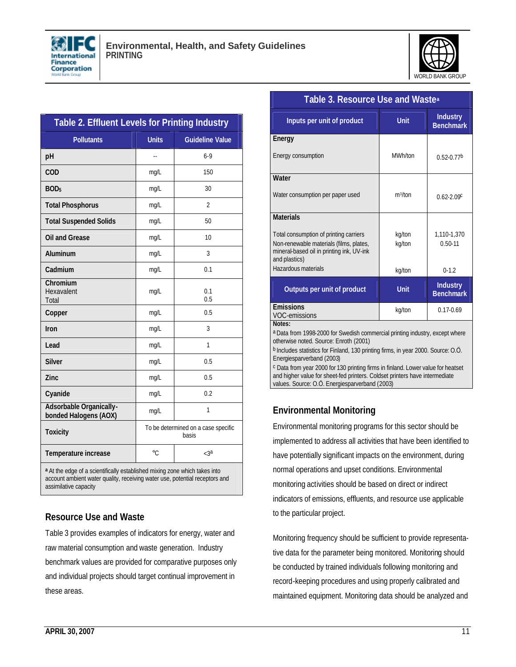



| Table 2. Effluent Levels for Printing Industry   |                                              |                          |  |  |
|--------------------------------------------------|----------------------------------------------|--------------------------|--|--|
| <b>Pollutants</b>                                | <b>Units</b>                                 | <b>Guideline Value</b>   |  |  |
| pH                                               |                                              | $6-9$                    |  |  |
| COD                                              | mg/L                                         | 150                      |  |  |
| BOD <sub>5</sub>                                 | mg/L                                         | 30                       |  |  |
| <b>Total Phosphorus</b>                          | mg/L                                         | $\overline{\mathcal{L}}$ |  |  |
| <b>Total Suspended Solids</b>                    | mg/L                                         | 50                       |  |  |
| <b>Oil and Grease</b>                            | mg/L                                         | 10                       |  |  |
| Aluminum                                         | mg/L                                         | 3                        |  |  |
| Cadmium                                          | mg/L                                         | 0.1                      |  |  |
| Chromium<br>Hexavalent<br>Total                  | mg/L                                         | 0.1<br>0.5               |  |  |
| Copper                                           | mg/L                                         | 0.5                      |  |  |
| Iron                                             | mg/L                                         | 3                        |  |  |
| Lead                                             | mg/L                                         | 1                        |  |  |
| <b>Silver</b>                                    | mg/L                                         | 0.5                      |  |  |
| Zinc                                             | mg/L                                         | 0.5                      |  |  |
| Cyanide                                          | mg/L                                         | 0.2                      |  |  |
| Adsorbable Organically-<br>bonded Halogens (AOX) | mg/L                                         | 1                        |  |  |
| <b>Toxicity</b>                                  | To be determined on a case specific<br>basis |                          |  |  |
| Temperature increase                             | $\circ$ C                                    | $<3^a$                   |  |  |

**<sup>a</sup>** At the edge of a scientifically established mixing zone which takes into account ambient water quality, receiving water use, potential receptors and assimilative capacity

#### **Resource Use and Waste**

Table 3 provides examples of indicators for energy, water and raw material consumption and waste generation. Industry benchmark values are provided for comparative purposes only and individual projects should target continual improvement in these areas.

| Table 3. Resource Use and Waste <sup>a</sup>                                                                                                    |                     |                                     |  |
|-------------------------------------------------------------------------------------------------------------------------------------------------|---------------------|-------------------------------------|--|
| Inputs per unit of product                                                                                                                      | <b>Unit</b>         | <b>Industry</b><br><b>Benchmark</b> |  |
| Energy                                                                                                                                          |                     |                                     |  |
| Energy consumption                                                                                                                              | MWh/ton             | $0.52 - 0.77$ <sup>b</sup>          |  |
| Water                                                                                                                                           |                     |                                     |  |
| Water consumption per paper used                                                                                                                | m <sup>3</sup> /ton | $0.62 - 2.09$                       |  |
| <b>Materials</b>                                                                                                                                |                     |                                     |  |
| Total consumption of printing carriers<br>Non-renewable materials (films, plates,<br>mineral-based oil in printing ink, UV-ink<br>and plastics) | kg/ton<br>kg/ton    | 1.110-1.370<br>$0.50 - 11$          |  |
| Hazardous materials                                                                                                                             | kg/ton              | $0 - 1.2$                           |  |
| Outputs per unit of product                                                                                                                     | <b>Unit</b>         | <b>Industry</b><br><b>Benchmark</b> |  |
| <b>Emissions</b><br>VOC-emissions                                                                                                               | kg/ton              | $0.17 - 0.69$                       |  |
| Notes:<br>a Data from 1998-2000 for Swedish commercial printing industry, except where                                                          |                     |                                     |  |

a Data from 1998-2000 for Swedish commercial printing industry, except where otherwise noted. Source: Enroth (2001)

<sup>b</sup> Includes statistics for Finland, 130 printing firms, in year 2000. Source: O.Ö. Energiesparverband (2003)

c Data from year 2000 for 130 printing firms in finland. Lower value for heatset and higher value for sheet-fed printers. Coldset printers have intermediate values. Source: O.Ö. Energiesparverband (2003)

#### **Environmental Monitoring**

Environmental monitoring programs for this sector should be implemented to address all activities that have been identified to have potentially significant impacts on the environment, during normal operations and upset conditions. Environmental monitoring activities should be based on direct or indirect indicators of emissions, effluents, and resource use applicable to the particular project.

Monitoring frequency should be sufficient to provide representative data for the parameter being monitored. Monitoring should be conducted by trained individuals following monitoring and record-keeping procedures and using properly calibrated and maintained equipment. Monitoring data should be analyzed and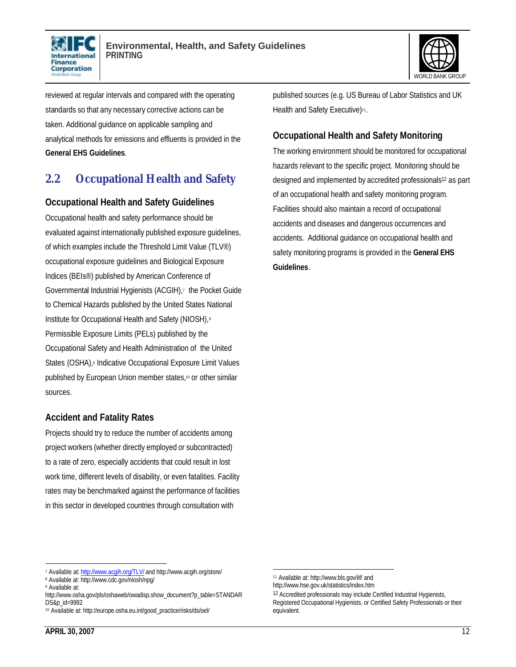



reviewed at regular intervals and compared with the operating standards so that any necessary corrective actions can be taken. Additional guidance on applicable sampling and analytical methods for emissions and effluents is provided in the **General EHS Guidelines**.

## **2.2 Occupational Health and Safety**

#### **Occupational Health and Safety Guidelines**

Occupational health and safety performance should be evaluated against internationally published exposure guidelines, of which examples include the Threshold Limit Value (TLV®) occupational exposure guidelines and Biological Exposure Indices (BEIs®) published by American Conference of Governmental Industrial Hygienists (ACGIH),<sup>7</sup> the Pocket Guide to Chemical Hazards published by the United States National Institute for Occupational Health and Safety (NIOSH),<sup>8</sup> Permissible Exposure Limits (PELs) published by the Occupational Safety and Health Administration of the United States (OSHA),<sup>9</sup> Indicative Occupational Exposure Limit Values published by European Union member states,10 or other similar sources.

#### **Accident and Fatality Rates**

Projects should try to reduce the number of accidents among project workers (whether directly employed or subcontracted) to a rate of zero, especially accidents that could result in lost work time, different levels of disability, or even fatalities. Facility rates may be benchmarked against the performance of facilities in this sector in developed countries through consultation with

published sources (e.g. US Bureau of Labor Statistics and UK Health and Safety Executive)<sup>11</sup>.

#### **Occupational Health and Safety Monitoring**

The working environment should be monitored for occupational hazards relevant to the specific project. Monitoring should be designed and implemented by accredited professionals<sup>12</sup> as part of an occupational health and safety monitoring program. Facilities should also maintain a record of occupational accidents and diseases and dangerous occurrences and accidents. Additional guidance on occupational health and safety monitoring programs is provided in the **General EHS Guidelines**.

 $\overline{a}$ <sup>7</sup> Available at: http://www.acgih.org/TLV/ and http://www.acgih.org/store/

<sup>8</sup> Available at: http://www.cdc.gov/niosh/npg/

<sup>9</sup> Available at:

http://www.osha.gov/pls/oshaweb/owadisp.show\_document?p\_table=STANDAR DS&p\_id=9992

<sup>10</sup> Available at: http://europe.osha.eu.int/good\_practice/risks/ds/oel/

 $\overline{a}$ <sup>11</sup> Available at: http://www.bls.gov/iif/ and http://www.hse.gov.uk/statistics/index.htm

<sup>&</sup>lt;sup>12</sup> Accredited professionals may include Certified Industrial Hygienists, Registered Occupational Hygienists, or Certified Safety Professionals or their equivalent.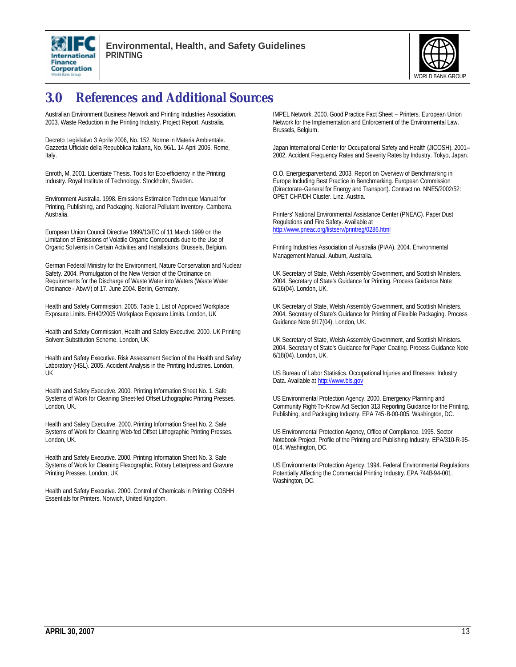



# **3.0 References and Additional Sources**

Australian Environment Business Network and Printing Industries Association. 2003. Waste Reduction in the Printing Industry. Project Report. Australia.

Decreto Legislativo 3 Aprile 2006, No. 152. Norme in Materia Ambientale. Gazzetta Ufficiale della Repubblica Italiana, No. 96/L. 14 April 2006. Rome, Italy.

Enroth, M. 2001. Licentiate Thesis. Tools for Eco-efficiency in the Printing Industry. Royal Institute of Technology. Stockholm, Sweden.

Environment Australia. 1998. Emissions Estimation Technique Manual for Printing, Publishing, and Packaging. National Pollutant Inventory. Camberra, **Australia** 

European Union Council Directive 1999/13/EC of 11 March 1999 on the Limitation of Emissions of Volatile Organic Compounds due to the Use of Organic Solvents in Certain Activities and Installations. Brussels, Belgium.

German Federal Ministry for the Environment, Nature Conservation and Nuclear Safety. 2004. Promulgation of the New Version of the Ordinance on Requirements for the Discharge of Waste Water into Waters (Waste Water Ordinance - AbwV) of 17. June 2004. Berlin, Germany.

Health and Safety Commission. 2005. Table 1, List of Approved Workplace Exposure Limits. EH40/2005 Workplace Exposure Limits. London, UK

Health and Safety Commission, Health and Safety Executive. 2000. UK Printing Solvent Substitution Scheme. London, UK

Health and Safety Executive. Risk Assessment Section of the Health and Safety Laboratory (HSL). 2005. Accident Analysis in the Printing Industries. London, UK

Health and Safety Executive. 2000. Printing Information Sheet No. 1. Safe Systems of Work for Cleaning Sheet-fed Offset Lithographic Printing Presses. London, UK.

Health and Safety Executive. 2000. Printing Information Sheet No. 2. Safe Systems of Work for Cleaning Web-fed Offset Lithographic Printing Presses. London, UK.

Health and Safety Executive. 2000. Printing Information Sheet No. 3. Safe Systems of Work for Cleaning Flexographic, Rotary Letterpress and Gravure Printing Presses. London, UK

Health and Safety Executive. 2000. Control of Chemicals in Printing: COSHH Essentials for Printers. Norwich, United Kingdom.

IMPEL Network. 2000. Good Practice Fact Sheet – Printers. European Union Network for the Implementation and Enforcement of the Environmental Law. Brussels, Belgium.

Japan International Center for Occupational Safety and Health (JICOSH). 2001– 2002. Accident Frequency Rates and Severity Rates by Industry. Tokyo, Japan.

O.Ö. Energiesparverband. 2003. Report on Overview of Benchmarking in Europe Including Best Practice in Benchmarking. European Commission (Directorate-General for Energy and Transport). Contract no. NNE5/2002/52: OPET CHP/DH Cluster. Linz, Austria.

Printers' National Environmental Assistance Center (PNEAC). Paper Dust Regulations and Fire Safety. Available at http://www.pneac.org/listserv/printreg/0286.html

Printing Industries Association of Australia (PIAA). 2004. Environmental Management Manual. Auburn, Australia.

UK Secretary of State, Welsh Assembly Government, and Scottish Ministers. 2004. Secretary of State's Guidance for Printing. Process Guidance Note 6/16(04). London, UK.

UK Secretary of State, Welsh Assembly Government, and Scottish Ministers. 2004. Secretary of State's Guidance for Printing of Flexible Packaging. Process Guidance Note 6/17(04). London, UK.

UK Secretary of State, Welsh Assembly Government, and Scottish Ministers. 2004. Secretary of State's Guidance for Paper Coating. Process Guidance Note 6/18(04). London, UK.

US Bureau of Labor Statistics. Occupational Injuries and Illnesses: Industry Data. Available at http://www.bls.gov

US Environmental Protection Agency. 2000. Emergency Planning and Community Right-To-Know Act Section 313 Reporting Guidance for the Printing, Publishing, and Packaging Industry. EPA 745-B-00-005. Washington, DC.

US Environmental Protection Agency, Office of Compliance. 1995. Sector Notebook Project. Profile of the Printing and Publishing Industry. EPA/310-R-95- 014. Washington, DC.

US Environmental Protection Agency. 1994. Federal Environmental Regulations Potentially Affecting the Commercial Printing Industry. EPA 744B-94-001. Washington, DC.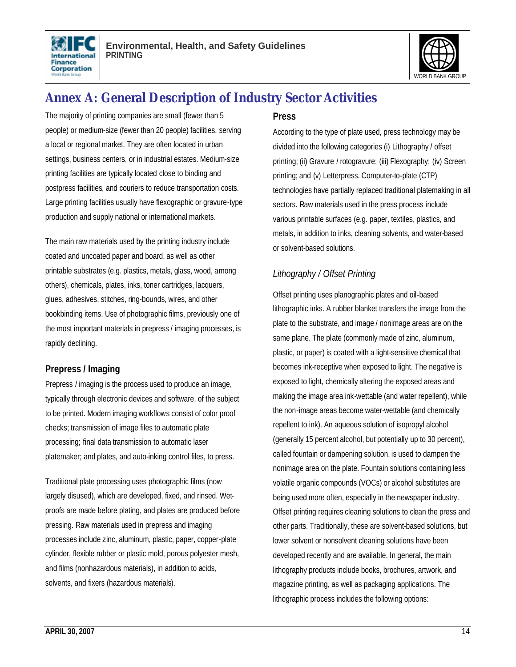



# **Annex A: General Description of Industry Sector Activities**

The majority of printing companies are small (fewer than 5 people) or medium-size (fewer than 20 people) facilities, serving a local or regional market. They are often located in urban settings, business centers, or in industrial estates. Medium-size printing facilities are typically located close to binding and postpress facilities, and couriers to reduce transportation costs. Large printing facilities usually have flexographic or gravure-type production and supply national or international markets.

The main raw materials used by the printing industry include coated and uncoated paper and board, as well as other printable substrates (e.g. plastics, metals, glass, wood, among others), chemicals, plates, inks, toner cartridges, lacquers, glues, adhesives, stitches, ring-bounds, wires, and other bookbinding items. Use of photographic films, previously one of the most important materials in prepress / imaging processes, is rapidly declining.

#### **Prepress / Imaging**

Prepress / imaging is the process used to produce an image, typically through electronic devices and software, of the subject to be printed. Modern imaging workflows consist of color proof checks; transmission of image files to automatic plate processing; final data transmission to automatic laser platemaker; and plates, and auto-inking control files, to press.

Traditional plate processing uses photographic films (now largely disused), which are developed, fixed, and rinsed. Wetproofs are made before plating, and plates are produced before pressing. Raw materials used in prepress and imaging processes include zinc, aluminum, plastic, paper, copper-plate cylinder, flexible rubber or plastic mold, porous polyester mesh, and films (nonhazardous materials), in addition to acids, solvents, and fixers (hazardous materials).

#### **Press**

According to the type of plate used, press technology may be divided into the following categories (i) Lithography / offset printing; (ii) Gravure / rotogravure; (iii) Flexography; (iv) Screen printing; and (v) Letterpress. Computer-to-plate (CTP) technologies have partially replaced traditional platemaking in all sectors. Raw materials used in the press process include various printable surfaces (e.g. paper, textiles, plastics, and metals, in addition to inks, cleaning solvents, and water-based or solvent-based solutions.

#### *Lithography / Offset Printing*

Offset printing uses planographic plates and oil-based lithographic inks. A rubber blanket transfers the image from the plate to the substrate, and image / nonimage areas are on the same plane. The plate (commonly made of zinc, aluminum, plastic, or paper) is coated with a light-sensitive chemical that becomes ink-receptive when exposed to light. The negative is exposed to light, chemically altering the exposed areas and making the image area ink-wettable (and water repellent), while the non-image areas become water-wettable (and chemically repellent to ink). An aqueous solution of isopropyl alcohol (generally 15 percent alcohol, but potentially up to 30 percent), called fountain or dampening solution, is used to dampen the nonimage area on the plate. Fountain solutions containing less volatile organic compounds (VOCs) or alcohol substitutes are being used more often, especially in the newspaper industry. Offset printing requires cleaning solutions to clean the press and other parts. Traditionally, these are solvent-based solutions, but lower solvent or nonsolvent cleaning solutions have been developed recently and are available. In general, the main lithography products include books, brochures, artwork, and magazine printing, as well as packaging applications. The lithographic process includes the following options: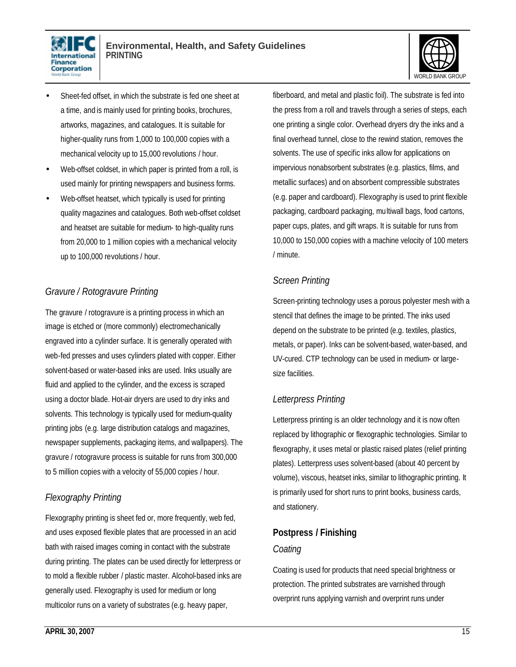



- Sheet-fed offset, in which the substrate is fed one sheet at a time, and is mainly used for printing books, brochures, artworks, magazines, and catalogues. It is suitable for higher-quality runs from 1,000 to 100,000 copies with a mechanical velocity up to 15,000 revolutions / hour.
- Web-offset coldset, in which paper is printed from a roll, is used mainly for printing newspapers and business forms.
- Web-offset heatset, which typically is used for printing quality magazines and catalogues. Both web-offset coldset and heatset are suitable for medium- to high-quality runs from 20,000 to 1 million copies with a mechanical velocity up to 100,000 revolutions / hour.

#### *Gravure / Rotogravure Printing*

The gravure / rotogravure is a printing process in which an image is etched or (more commonly) electromechanically engraved into a cylinder surface. It is generally operated with web-fed presses and uses cylinders plated with copper. Either solvent-based or water-based inks are used. Inks usually are fluid and applied to the cylinder, and the excess is scraped using a doctor blade. Hot-air dryers are used to dry inks and solvents. This technology is typically used for medium-quality printing jobs (e.g. large distribution catalogs and magazines, newspaper supplements, packaging items, and wallpapers). The gravure / rotogravure process is suitable for runs from 300,000 to 5 million copies with a velocity of 55,000 copies / hour.

#### *Flexography Printing*

Flexography printing is sheet fed or, more frequently, web fed, and uses exposed flexible plates that are processed in an acid bath with raised images coming in contact with the substrate during printing. The plates can be used directly for letterpress or to mold a flexible rubber / plastic master. Alcohol-based inks are generally used. Flexography is used for medium or long multicolor runs on a variety of substrates (e.g. heavy paper,

fiberboard, and metal and plastic foil). The substrate is fed into the press from a roll and travels through a series of steps, each one printing a single color. Overhead dryers dry the inks and a final overhead tunnel, close to the rewind station, removes the solvents. The use of specific inks allow for applications on impervious nonabsorbent substrates (e.g. plastics, films, and metallic surfaces) and on absorbent compressible substrates (e.g. paper and cardboard). Flexography is used to print flexible packaging, cardboard packaging, multiwall bags, food cartons, paper cups, plates, and gift wraps. It is suitable for runs from 10,000 to 150,000 copies with a machine velocity of 100 meters / minute.

#### *Screen Printing*

Screen-printing technology uses a porous polyester mesh with a stencil that defines the image to be printed. The inks used depend on the substrate to be printed (e.g. textiles, plastics, metals, or paper). Inks can be solvent-based, water-based, and UV-cured. CTP technology can be used in medium- or largesize facilities.

#### *Letterpress Printing*

Letterpress printing is an older technology and it is now often replaced by lithographic or flexographic technologies. Similar to flexography, it uses metal or plastic raised plates (relief printing plates). Letterpress uses solvent-based (about 40 percent by volume), viscous, heatset inks, similar to lithographic printing. It is primarily used for short runs to print books, business cards, and stationery.

#### **Postpress / Finishing**

#### *Coating*

Coating is used for products that need special brightness or protection. The printed substrates are varnished through overprint runs applying varnish and overprint runs under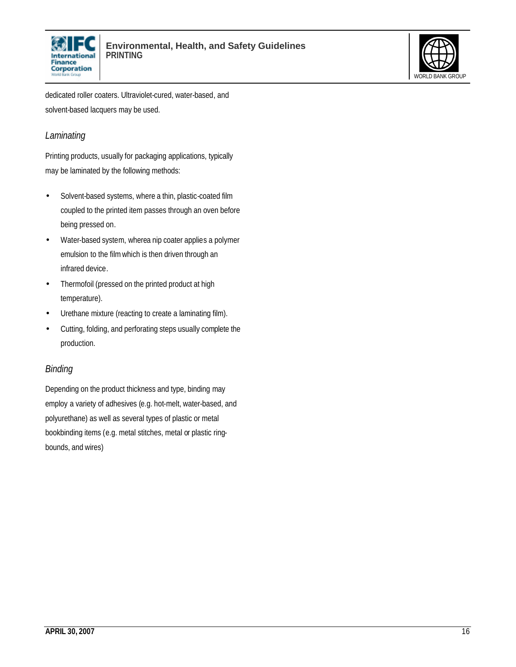



dedicated roller coaters. Ultraviolet-cured, water-based, and solvent-based lacquers may be used.

#### *Laminating*

Printing products, usually for packaging applications, typically may be laminated by the following methods:

- Solvent-based systems, where a thin, plastic-coated film coupled to the printed item passes through an oven before being pressed on.
- Water-based system, wherea nip coater applies a polymer emulsion to the filmwhich is then driven through an infrared device.
- Thermofoil (pressed on the printed product at high temperature).
- Urethane mixture (reacting to create a laminating film).
- Cutting, folding, and perforating steps usually complete the production.

#### *Binding*

Depending on the product thickness and type, binding may employ a variety of adhesives (e.g. hot-melt, water-based, and polyurethane) as well as several types of plastic or metal bookbinding items (e.g. metal stitches, metal or plastic ringbounds, and wires)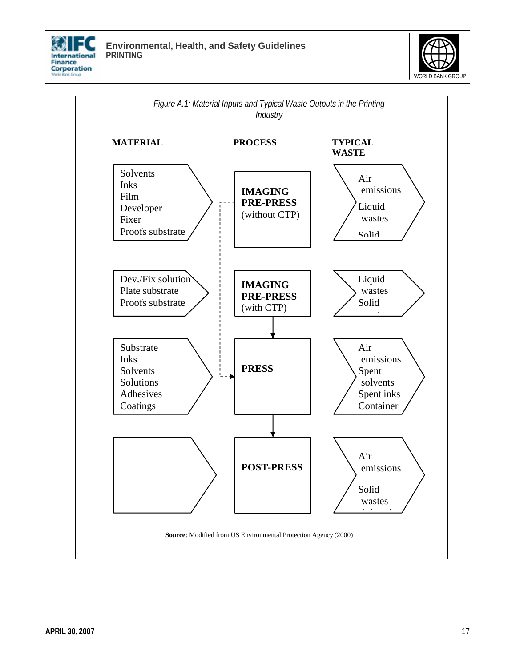